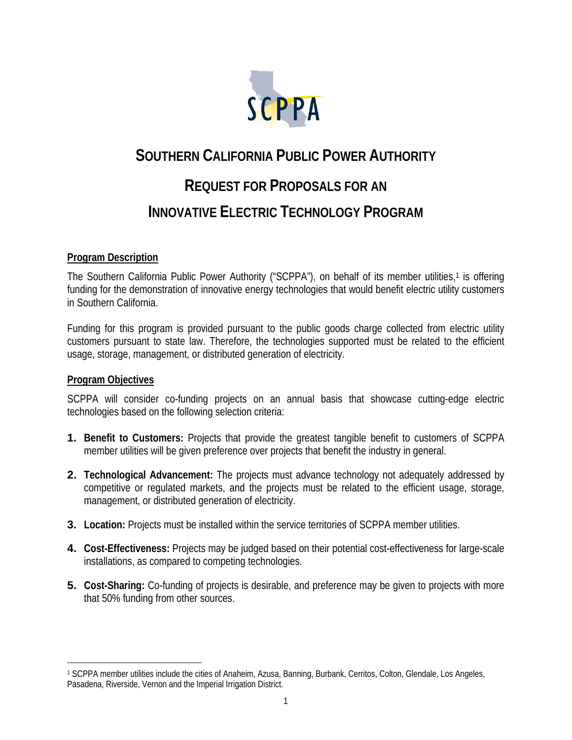

# **SOUTHERN CALIFORNIA PUBLIC POWER AUTHORITY REQUEST FOR PROPOSALS FOR AN INNOVATIVE ELECTRIC TECHNOLOGY PROGRAM**

## **Program Description**

The Southern California Public Power Authority ("SCPPA"), on behalf of its member utilities,<sup>1</sup> is offering funding for the demonstration of innovative energy technologies that would benefit electric utility customers in Southern California.

Funding for this program is provided pursuant to the public goods charge collected from electric utility customers pursuant to state law. Therefore, the technologies supported must be related to the efficient usage, storage, management, or distributed generation of electricity.

## **Program Objectives**

 $\overline{a}$ 

SCPPA will consider co-funding projects on an annual basis that showcase cutting-edge electric technologies based on the following selection criteria:

- **1. Benefit to Customers:** Projects that provide the greatest tangible benefit to customers of SCPPA member utilities will be given preference over projects that benefit the industry in general.
- **2. Technological Advancement:** The projects must advance technology not adequately addressed by competitive or regulated markets, and the projects must be related to the efficient usage, storage, management, or distributed generation of electricity.
- **3. Location:** Projects must be installed within the service territories of SCPPA member utilities.
- **4. Cost-Effectiveness:** Projects may be judged based on their potential cost-effectiveness for large-scale installations, as compared to competing technologies.
- **5. Cost-Sharing:** Co-funding of projects is desirable, and preference may be given to projects with more that 50% funding from other sources.

<sup>1</sup> SCPPA member utilities include the cities of Anaheim, Azusa, Banning, Burbank, Cerritos, Colton, Glendale, Los Angeles, Pasadena, Riverside, Vernon and the Imperial Irrigation District.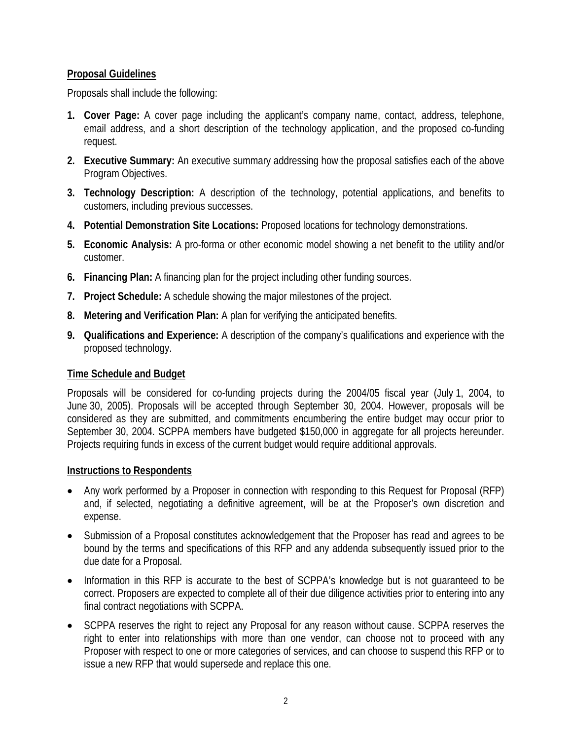# **Proposal Guidelines**

Proposals shall include the following:

- **1. Cover Page:** A cover page including the applicant's company name, contact, address, telephone, email address, and a short description of the technology application, and the proposed co-funding request.
- **2. Executive Summary:** An executive summary addressing how the proposal satisfies each of the above Program Objectives.
- **3. Technology Description:** A description of the technology, potential applications, and benefits to customers, including previous successes.
- **4. Potential Demonstration Site Locations:** Proposed locations for technology demonstrations.
- **5. Economic Analysis:** A pro-forma or other economic model showing a net benefit to the utility and/or customer.
- **6. Financing Plan:** A financing plan for the project including other funding sources.
- **7. Project Schedule:** A schedule showing the major milestones of the project.
- **8. Metering and Verification Plan:** A plan for verifying the anticipated benefits.
- **9. Qualifications and Experience:** A description of the company's qualifications and experience with the proposed technology.

# **Time Schedule and Budget**

Proposals will be considered for co-funding projects during the 2004/05 fiscal year (July 1, 2004, to June 30, 2005). Proposals will be accepted through September 30, 2004. However, proposals will be considered as they are submitted, and commitments encumbering the entire budget may occur prior to September 30, 2004. SCPPA members have budgeted \$150,000 in aggregate for all projects hereunder. Projects requiring funds in excess of the current budget would require additional approvals.

## **Instructions to Respondents**

- Any work performed by a Proposer in connection with responding to this Request for Proposal (RFP) and, if selected, negotiating a definitive agreement, will be at the Proposer's own discretion and expense.
- Submission of a Proposal constitutes acknowledgement that the Proposer has read and agrees to be bound by the terms and specifications of this RFP and any addenda subsequently issued prior to the due date for a Proposal.
- Information in this RFP is accurate to the best of SCPPA's knowledge but is not guaranteed to be correct. Proposers are expected to complete all of their due diligence activities prior to entering into any final contract negotiations with SCPPA.
- SCPPA reserves the right to reject any Proposal for any reason without cause. SCPPA reserves the right to enter into relationships with more than one vendor, can choose not to proceed with any Proposer with respect to one or more categories of services, and can choose to suspend this RFP or to issue a new RFP that would supersede and replace this one.